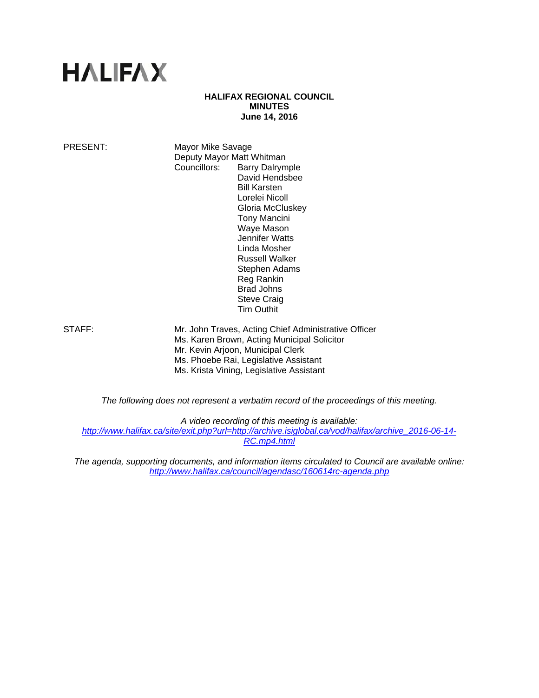# **HALIFAX**

# **HALIFAX REGIONAL COUNCIL MINUTES June 14, 2016**

PRESENT: Mayor Mike Savage Deputy Mayor Matt Whitman Councillors: Barry Dalrymple David Hendsbee Bill Karsten Lorelei Nicoll Gloria McCluskey Tony Mancini Waye Mason Jennifer Watts Linda Mosher Russell Walker Stephen Adams Reg Rankin Brad Johns Steve Craig Tim Outhit

STAFF: Mr. John Traves, Acting Chief Administrative Officer Ms. Karen Brown, Acting Municipal Solicitor Mr. Kevin Arjoon, Municipal Clerk Ms. Phoebe Rai, Legislative Assistant Ms. Krista Vining, Legislative Assistant

*The following does not represent a verbatim record of the proceedings of this meeting.* 

*A video recording of this meeting is available:* 

*http://www.halifax.ca/site/exit.php?url=http://archive.isiglobal.ca/vod/halifax/archive\_2016-06-14- RC.mp4.html*

*The agenda, supporting documents, and information items circulated to Council are available online: http://www.halifax.ca/council/agendasc/160614rc-agenda.php*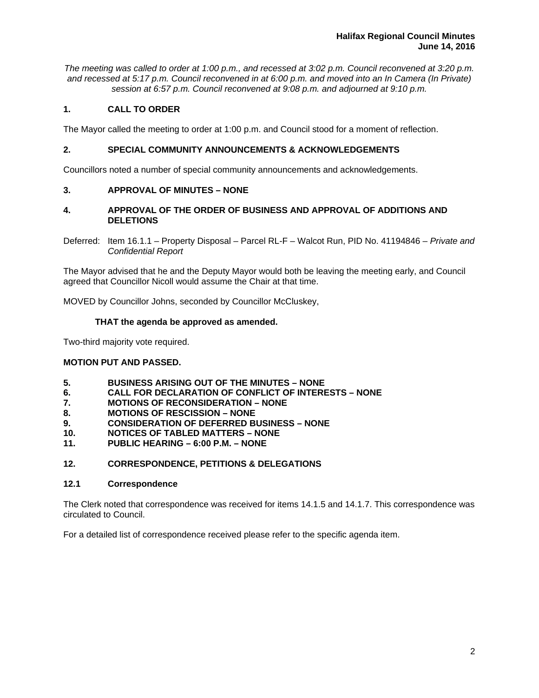*The meeting was called to order at 1:00 p.m., and recessed at 3:02 p.m. Council reconvened at 3:20 p.m. and recessed at 5:17 p.m. Council reconvened in at 6:00 p.m. and moved into an In Camera (In Private) session at 6:57 p.m. Council reconvened at 9:08 p.m. and adjourned at 9:10 p.m.*

# **1. CALL TO ORDER**

The Mayor called the meeting to order at 1:00 p.m. and Council stood for a moment of reflection.

# **2. SPECIAL COMMUNITY ANNOUNCEMENTS & ACKNOWLEDGEMENTS**

Councillors noted a number of special community announcements and acknowledgements.

# **3. APPROVAL OF MINUTES – NONE**

# **4. APPROVAL OF THE ORDER OF BUSINESS AND APPROVAL OF ADDITIONS AND DELETIONS**

Deferred: Item 16.1.1 – Property Disposal – Parcel RL-F – Walcot Run, PID No. 41194846 – *Private and Confidential Report* 

The Mayor advised that he and the Deputy Mayor would both be leaving the meeting early, and Council agreed that Councillor Nicoll would assume the Chair at that time.

MOVED by Councillor Johns, seconded by Councillor McCluskey,

# **THAT the agenda be approved as amended.**

Two-third majority vote required.

# **MOTION PUT AND PASSED.**

- **5. BUSINESS ARISING OUT OF THE MINUTES NONE**
- **6. CALL FOR DECLARATION OF CONFLICT OF INTERESTS NONE**
- **7. MOTIONS OF RECONSIDERATION NONE**
- **8. MOTIONS OF RESCISSION NONE**
- **9. CONSIDERATION OF DEFERRED BUSINESS NONE**
- **10. NOTICES OF TABLED MATTERS NONE**
- **11. PUBLIC HEARING 6:00 P.M. NONE**

# **12. CORRESPONDENCE, PETITIONS & DELEGATIONS**

# **12.1 Correspondence**

The Clerk noted that correspondence was received for items 14.1.5 and 14.1.7. This correspondence was circulated to Council.

For a detailed list of correspondence received please refer to the specific agenda item.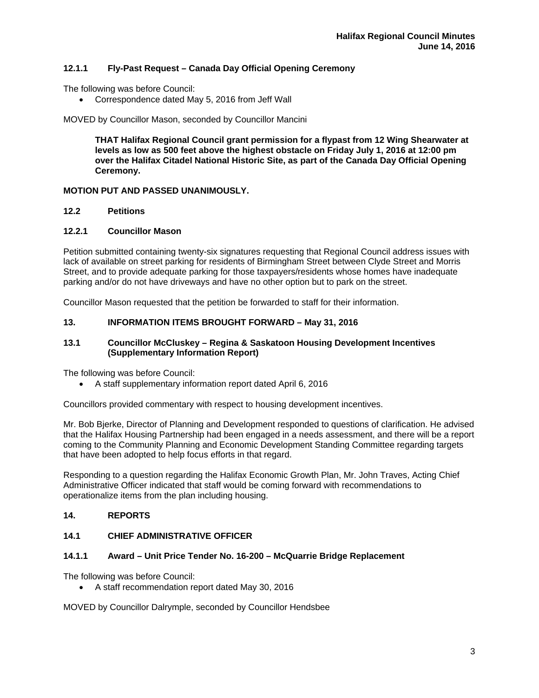# **12.1.1 Fly-Past Request – Canada Day Official Opening Ceremony**

The following was before Council:

Correspondence dated May 5, 2016 from Jeff Wall

MOVED by Councillor Mason, seconded by Councillor Mancini

**THAT Halifax Regional Council grant permission for a flypast from 12 Wing Shearwater at levels as low as 500 feet above the highest obstacle on Friday July 1, 2016 at 12:00 pm over the Halifax Citadel National Historic Site, as part of the Canada Day Official Opening Ceremony.** 

# **MOTION PUT AND PASSED UNANIMOUSLY.**

#### **12.2 Petitions**

#### **12.2.1 Councillor Mason**

Petition submitted containing twenty-six signatures requesting that Regional Council address issues with lack of available on street parking for residents of Birmingham Street between Clyde Street and Morris Street, and to provide adequate parking for those taxpayers/residents whose homes have inadequate parking and/or do not have driveways and have no other option but to park on the street.

Councillor Mason requested that the petition be forwarded to staff for their information.

# **13. INFORMATION ITEMS BROUGHT FORWARD – May 31, 2016**

# **13.1 Councillor McCluskey – Regina & Saskatoon Housing Development Incentives (Supplementary Information Report)**

The following was before Council:

A staff supplementary information report dated April 6, 2016

Councillors provided commentary with respect to housing development incentives.

Mr. Bob Bjerke, Director of Planning and Development responded to questions of clarification. He advised that the Halifax Housing Partnership had been engaged in a needs assessment, and there will be a report coming to the Community Planning and Economic Development Standing Committee regarding targets that have been adopted to help focus efforts in that regard.

Responding to a question regarding the Halifax Economic Growth Plan, Mr. John Traves, Acting Chief Administrative Officer indicated that staff would be coming forward with recommendations to operationalize items from the plan including housing.

# **14. REPORTS**

# **14.1 CHIEF ADMINISTRATIVE OFFICER**

# **14.1.1 Award – Unit Price Tender No. 16-200 – McQuarrie Bridge Replacement**

The following was before Council:

A staff recommendation report dated May 30, 2016

MOVED by Councillor Dalrymple, seconded by Councillor Hendsbee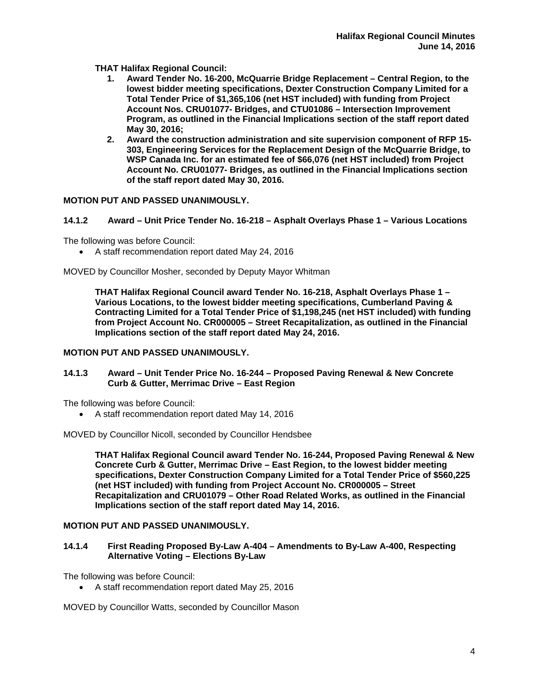**THAT Halifax Regional Council:** 

- **1. Award Tender No. 16-200, McQuarrie Bridge Replacement Central Region, to the lowest bidder meeting specifications, Dexter Construction Company Limited for a Total Tender Price of \$1,365,106 (net HST included) with funding from Project Account Nos. CRU01077- Bridges, and CTU01086 – Intersection Improvement Program, as outlined in the Financial Implications section of the staff report dated May 30, 2016;**
- **2. Award the construction administration and site supervision component of RFP 15- 303, Engineering Services for the Replacement Design of the McQuarrie Bridge, to WSP Canada Inc. for an estimated fee of \$66,076 (net HST included) from Project Account No. CRU01077- Bridges, as outlined in the Financial Implications section of the staff report dated May 30, 2016.**

# **MOTION PUT AND PASSED UNANIMOUSLY.**

# **14.1.2 Award – Unit Price Tender No. 16-218 – Asphalt Overlays Phase 1 – Various Locations**

The following was before Council:

A staff recommendation report dated May 24, 2016

MOVED by Councillor Mosher, seconded by Deputy Mayor Whitman

**THAT Halifax Regional Council award Tender No. 16-218, Asphalt Overlays Phase 1 – Various Locations, to the lowest bidder meeting specifications, Cumberland Paving & Contracting Limited for a Total Tender Price of \$1,198,245 (net HST included) with funding from Project Account No. CR000005 – Street Recapitalization, as outlined in the Financial Implications section of the staff report dated May 24, 2016.** 

# **MOTION PUT AND PASSED UNANIMOUSLY.**

# **14.1.3 Award – Unit Tender Price No. 16-244 – Proposed Paving Renewal & New Concrete Curb & Gutter, Merrimac Drive – East Region**

The following was before Council:

A staff recommendation report dated May 14, 2016

MOVED by Councillor Nicoll, seconded by Councillor Hendsbee

**THAT Halifax Regional Council award Tender No. 16-244, Proposed Paving Renewal & New Concrete Curb & Gutter, Merrimac Drive – East Region, to the lowest bidder meeting specifications, Dexter Construction Company Limited for a Total Tender Price of \$560,225 (net HST included) with funding from Project Account No. CR000005 – Street Recapitalization and CRU01079 – Other Road Related Works, as outlined in the Financial Implications section of the staff report dated May 14, 2016.** 

# **MOTION PUT AND PASSED UNANIMOUSLY.**

# **14.1.4 First Reading Proposed By-Law A-404 – Amendments to By-Law A-400, Respecting Alternative Voting – Elections By-Law**

The following was before Council:

A staff recommendation report dated May 25, 2016

MOVED by Councillor Watts, seconded by Councillor Mason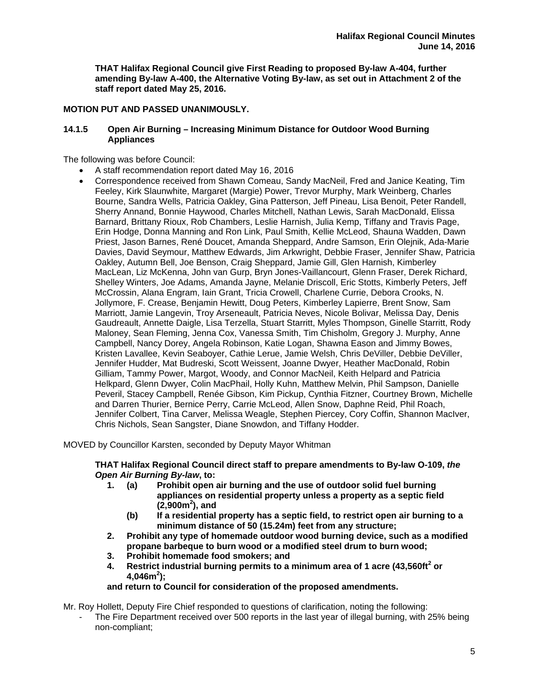**THAT Halifax Regional Council give First Reading to proposed By-law A-404, further amending By-law A-400, the Alternative Voting By-law, as set out in Attachment 2 of the staff report dated May 25, 2016.** 

# **MOTION PUT AND PASSED UNANIMOUSLY.**

# **14.1.5 Open Air Burning – Increasing Minimum Distance for Outdoor Wood Burning Appliances**

The following was before Council:

- A staff recommendation report dated May 16, 2016
- Correspondence received from Shawn Comeau, Sandy MacNeil, Fred and Janice Keating, Tim Feeley, Kirk Slaunwhite, Margaret (Margie) Power, Trevor Murphy, Mark Weinberg, Charles Bourne, Sandra Wells, Patricia Oakley, Gina Patterson, Jeff Pineau, Lisa Benoit, Peter Randell, Sherry Annand, Bonnie Haywood, Charles Mitchell, Nathan Lewis, Sarah MacDonald, Elissa Barnard, Brittany Rioux, Rob Chambers, Leslie Harnish, Julia Kemp, Tiffany and Travis Page, Erin Hodge, Donna Manning and Ron Link, Paul Smith, Kellie McLeod, Shauna Wadden, Dawn Priest, Jason Barnes, René Doucet, Amanda Sheppard, Andre Samson, Erin Olejnik, Ada-Marie Davies, David Seymour, Matthew Edwards, Jim Arkwright, Debbie Fraser, Jennifer Shaw, Patricia Oakley, Autumn Bell, Joe Benson, Craig Sheppard, Jamie Gill, Glen Harnish, Kimberley MacLean, Liz McKenna, John van Gurp, Bryn Jones-Vaillancourt, Glenn Fraser, Derek Richard, Shelley Winters, Joe Adams, Amanda Jayne, Melanie Driscoll, Eric Stotts, Kimberly Peters, Jeff McCrossin, Alana Engram, Iain Grant, Tricia Crowell, Charlene Currie, Debora Crooks, N. Jollymore, F. Crease, Benjamin Hewitt, Doug Peters, Kimberley Lapierre, Brent Snow, Sam Marriott, Jamie Langevin, Troy Arseneault, Patricia Neves, Nicole Bolivar, Melissa Day, Denis Gaudreault, Annette Daigle, Lisa Terzella, Stuart Starritt, Myles Thompson, Ginelle Starritt, Rody Maloney, Sean Fleming, Jenna Cox, Vanessa Smith, Tim Chisholm, Gregory J. Murphy, Anne Campbell, Nancy Dorey, Angela Robinson, Katie Logan, Shawna Eason and Jimmy Bowes, Kristen Lavallee, Kevin Seaboyer, Cathie Lerue, Jamie Welsh, Chris DeViller, Debbie DeViller, Jennifer Hudder, Mat Budreski, Scott Weissent, Joanne Dwyer, Heather MacDonald, Robin Gilliam, Tammy Power, Margot, Woody, and Connor MacNeil, Keith Helpard and Patricia Helkpard, Glenn Dwyer, Colin MacPhail, Holly Kuhn, Matthew Melvin, Phil Sampson, Danielle Peveril, Stacey Campbell, Renée Gibson, Kim Pickup, Cynthia Fitzner, Courtney Brown, Michelle and Darren Thurier, Bernice Perry, Carrie McLeod, Allen Snow, Daphne Reid, Phil Roach, Jennifer Colbert, Tina Carver, Melissa Weagle, Stephen Piercey, Cory Coffin, Shannon MacIver, Chris Nichols, Sean Sangster, Diane Snowdon, and Tiffany Hodder.

MOVED by Councillor Karsten, seconded by Deputy Mayor Whitman

**THAT Halifax Regional Council direct staff to prepare amendments to By-law O-109,** *the Open Air Burning By-law***, to:** 

- **1. (a) Prohibit open air burning and the use of outdoor solid fuel burning appliances on residential property unless a property as a septic field (2,900m2 ), and** 
	- **(b) If a residential property has a septic field, to restrict open air burning to a minimum distance of 50 (15.24m) feet from any structure;**
- **2. Prohibit any type of homemade outdoor wood burning device, such as a modified propane barbeque to burn wood or a modified steel drum to burn wood;**
- **3. Prohibit homemade food smokers; and**
- **4. Restrict industrial burning permits to a minimum area of 1 acre (43,560ft<sup>2</sup> or 4,046m2 );**

# **and return to Council for consideration of the proposed amendments.**

Mr. Roy Hollett, Deputy Fire Chief responded to questions of clarification, noting the following:

The Fire Department received over 500 reports in the last year of illegal burning, with 25% being non-compliant;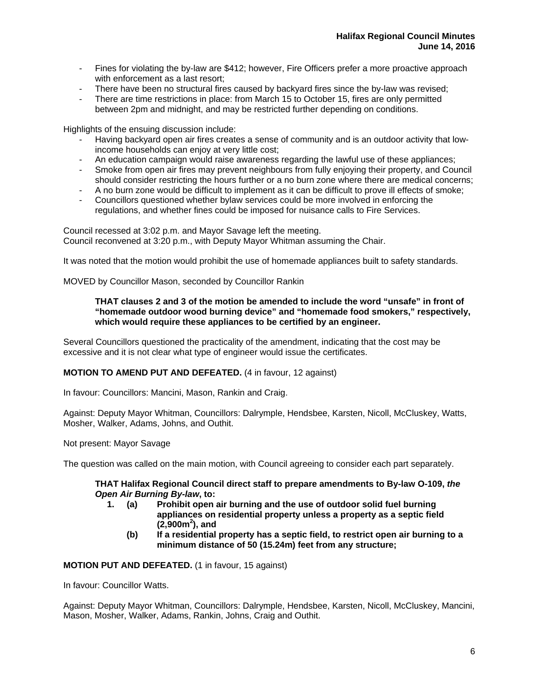- Fines for violating the by-law are \$412; however, Fire Officers prefer a more proactive approach with enforcement as a last resort;
- There have been no structural fires caused by backyard fires since the by-law was revised;
- There are time restrictions in place: from March 15 to October 15, fires are only permitted between 2pm and midnight, and may be restricted further depending on conditions.

Highlights of the ensuing discussion include:

- Having backyard open air fires creates a sense of community and is an outdoor activity that lowincome households can enjoy at very little cost;
- An education campaign would raise awareness regarding the lawful use of these appliances;
- Smoke from open air fires may prevent neighbours from fully enjoying their property, and Council should consider restricting the hours further or a no burn zone where there are medical concerns;
- A no burn zone would be difficult to implement as it can be difficult to prove ill effects of smoke;
- Councillors questioned whether bylaw services could be more involved in enforcing the regulations, and whether fines could be imposed for nuisance calls to Fire Services.

Council recessed at 3:02 p.m. and Mayor Savage left the meeting. Council reconvened at 3:20 p.m., with Deputy Mayor Whitman assuming the Chair.

It was noted that the motion would prohibit the use of homemade appliances built to safety standards.

MOVED by Councillor Mason, seconded by Councillor Rankin

# **THAT clauses 2 and 3 of the motion be amended to include the word "unsafe" in front of "homemade outdoor wood burning device" and "homemade food smokers," respectively, which would require these appliances to be certified by an engineer.**

Several Councillors questioned the practicality of the amendment, indicating that the cost may be excessive and it is not clear what type of engineer would issue the certificates.

# **MOTION TO AMEND PUT AND DEFEATED.** (4 in favour, 12 against)

In favour: Councillors: Mancini, Mason, Rankin and Craig.

Against: Deputy Mayor Whitman, Councillors: Dalrymple, Hendsbee, Karsten, Nicoll, McCluskey, Watts, Mosher, Walker, Adams, Johns, and Outhit.

Not present: Mayor Savage

The question was called on the main motion, with Council agreeing to consider each part separately.

#### **THAT Halifax Regional Council direct staff to prepare amendments to By-law O-109,** *the Open Air Burning By-law***, to:**

- **1. (a) Prohibit open air burning and the use of outdoor solid fuel burning appliances on residential property unless a property as a septic field (2,900m2 ), and** 
	- **(b) If a residential property has a septic field, to restrict open air burning to a minimum distance of 50 (15.24m) feet from any structure;**

# **MOTION PUT AND DEFEATED.** (1 in favour, 15 against)

In favour: Councillor Watts.

Against: Deputy Mayor Whitman, Councillors: Dalrymple, Hendsbee, Karsten, Nicoll, McCluskey, Mancini, Mason, Mosher, Walker, Adams, Rankin, Johns, Craig and Outhit.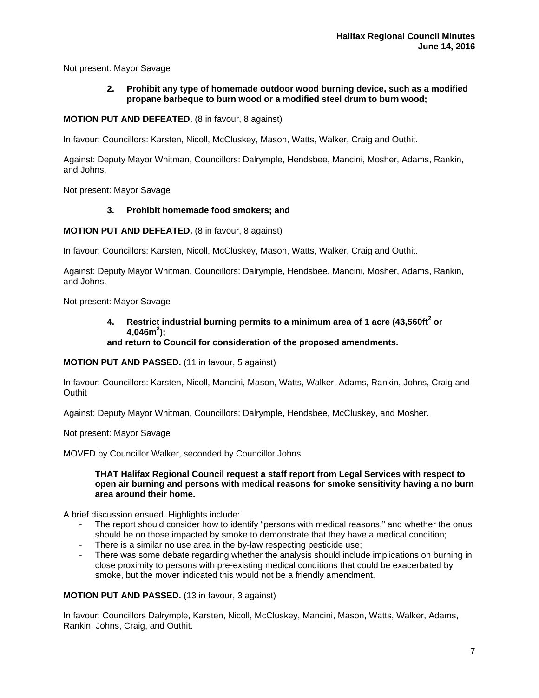Not present: Mayor Savage

# **2. Prohibit any type of homemade outdoor wood burning device, such as a modified propane barbeque to burn wood or a modified steel drum to burn wood;**

# **MOTION PUT AND DEFEATED.** (8 in favour, 8 against)

In favour: Councillors: Karsten, Nicoll, McCluskey, Mason, Watts, Walker, Craig and Outhit.

Against: Deputy Mayor Whitman, Councillors: Dalrymple, Hendsbee, Mancini, Mosher, Adams, Rankin, and Johns.

Not present: Mayor Savage

# **3. Prohibit homemade food smokers; and**

**MOTION PUT AND DEFEATED.** (8 in favour, 8 against)

In favour: Councillors: Karsten, Nicoll, McCluskey, Mason, Watts, Walker, Craig and Outhit.

Against: Deputy Mayor Whitman, Councillors: Dalrymple, Hendsbee, Mancini, Mosher, Adams, Rankin, and Johns.

Not present: Mayor Savage

# **4. Restrict industrial burning permits to a minimum area of 1 acre (43,560ft<sup>2</sup> or 4,046m2 );**

# **and return to Council for consideration of the proposed amendments.**

**MOTION PUT AND PASSED.** (11 in favour, 5 against)

In favour: Councillors: Karsten, Nicoll, Mancini, Mason, Watts, Walker, Adams, Rankin, Johns, Craig and **Outhit** 

Against: Deputy Mayor Whitman, Councillors: Dalrymple, Hendsbee, McCluskey, and Mosher.

Not present: Mayor Savage

MOVED by Councillor Walker, seconded by Councillor Johns

#### **THAT Halifax Regional Council request a staff report from Legal Services with respect to open air burning and persons with medical reasons for smoke sensitivity having a no burn area around their home.**

A brief discussion ensued. Highlights include:

- The report should consider how to identify "persons with medical reasons," and whether the onus should be on those impacted by smoke to demonstrate that they have a medical condition;
- There is a similar no use area in the by-law respecting pesticide use;
- There was some debate regarding whether the analysis should include implications on burning in close proximity to persons with pre-existing medical conditions that could be exacerbated by smoke, but the mover indicated this would not be a friendly amendment.

# **MOTION PUT AND PASSED.** (13 in favour, 3 against)

In favour: Councillors Dalrymple, Karsten, Nicoll, McCluskey, Mancini, Mason, Watts, Walker, Adams, Rankin, Johns, Craig, and Outhit.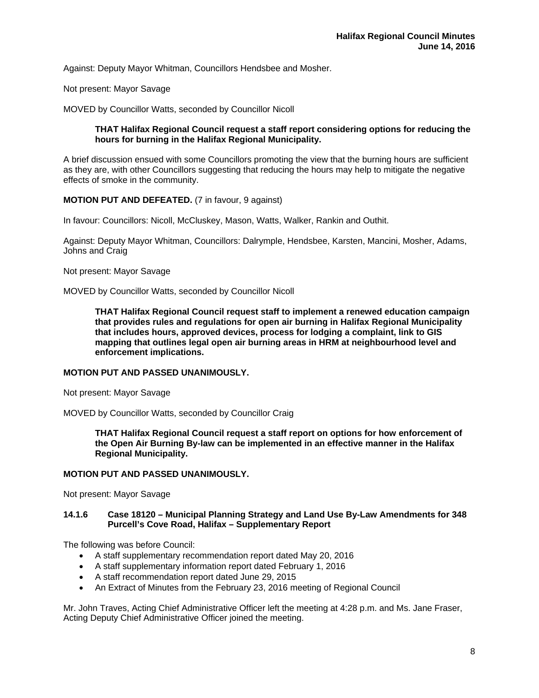Against: Deputy Mayor Whitman, Councillors Hendsbee and Mosher.

Not present: Mayor Savage

MOVED by Councillor Watts, seconded by Councillor Nicoll

# **THAT Halifax Regional Council request a staff report considering options for reducing the hours for burning in the Halifax Regional Municipality.**

A brief discussion ensued with some Councillors promoting the view that the burning hours are sufficient as they are, with other Councillors suggesting that reducing the hours may help to mitigate the negative effects of smoke in the community.

# **MOTION PUT AND DEFEATED.** (7 in favour, 9 against)

In favour: Councillors: Nicoll, McCluskey, Mason, Watts, Walker, Rankin and Outhit.

Against: Deputy Mayor Whitman, Councillors: Dalrymple, Hendsbee, Karsten, Mancini, Mosher, Adams, Johns and Craig

Not present: Mayor Savage

MOVED by Councillor Watts, seconded by Councillor Nicoll

**THAT Halifax Regional Council request staff to implement a renewed education campaign that provides rules and regulations for open air burning in Halifax Regional Municipality that includes hours, approved devices, process for lodging a complaint, link to GIS mapping that outlines legal open air burning areas in HRM at neighbourhood level and enforcement implications.** 

# **MOTION PUT AND PASSED UNANIMOUSLY.**

Not present: Mayor Savage

MOVED by Councillor Watts, seconded by Councillor Craig

**THAT Halifax Regional Council request a staff report on options for how enforcement of the Open Air Burning By-law can be implemented in an effective manner in the Halifax Regional Municipality.** 

# **MOTION PUT AND PASSED UNANIMOUSLY.**

Not present: Mayor Savage

# **14.1.6 Case 18120 – Municipal Planning Strategy and Land Use By-Law Amendments for 348 Purcell's Cove Road, Halifax – Supplementary Report**

The following was before Council:

- A staff supplementary recommendation report dated May 20, 2016
- A staff supplementary information report dated February 1, 2016
- A staff recommendation report dated June 29, 2015
- An Extract of Minutes from the February 23, 2016 meeting of Regional Council

Mr. John Traves, Acting Chief Administrative Officer left the meeting at 4:28 p.m. and Ms. Jane Fraser, Acting Deputy Chief Administrative Officer joined the meeting.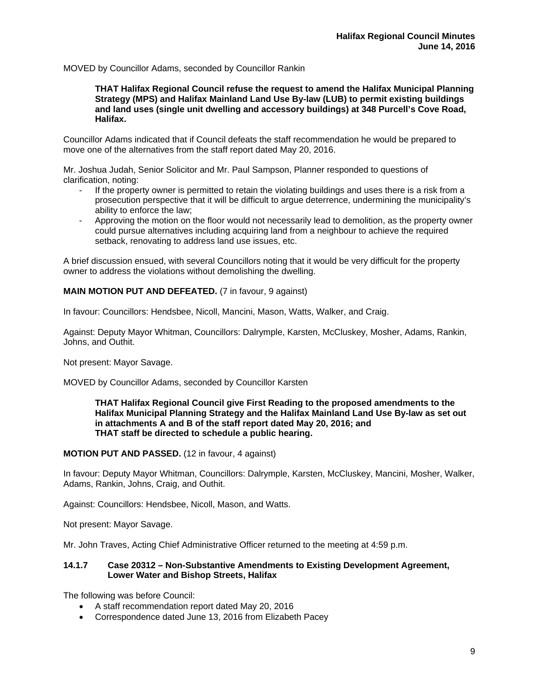# MOVED by Councillor Adams, seconded by Councillor Rankin

**THAT Halifax Regional Council refuse the request to amend the Halifax Municipal Planning Strategy (MPS) and Halifax Mainland Land Use By-law (LUB) to permit existing buildings and land uses (single unit dwelling and accessory buildings) at 348 Purcell's Cove Road, Halifax.** 

Councillor Adams indicated that if Council defeats the staff recommendation he would be prepared to move one of the alternatives from the staff report dated May 20, 2016.

Mr. Joshua Judah, Senior Solicitor and Mr. Paul Sampson, Planner responded to questions of clarification, noting:

- If the property owner is permitted to retain the violating buildings and uses there is a risk from a prosecution perspective that it will be difficult to argue deterrence, undermining the municipality's ability to enforce the law;
- Approving the motion on the floor would not necessarily lead to demolition, as the property owner could pursue alternatives including acquiring land from a neighbour to achieve the required setback, renovating to address land use issues, etc.

A brief discussion ensued, with several Councillors noting that it would be very difficult for the property owner to address the violations without demolishing the dwelling.

# **MAIN MOTION PUT AND DEFEATED.** (7 in favour, 9 against)

In favour: Councillors: Hendsbee, Nicoll, Mancini, Mason, Watts, Walker, and Craig.

Against: Deputy Mayor Whitman, Councillors: Dalrymple, Karsten, McCluskey, Mosher, Adams, Rankin, Johns, and Outhit.

Not present: Mayor Savage.

MOVED by Councillor Adams, seconded by Councillor Karsten

**THAT Halifax Regional Council give First Reading to the proposed amendments to the Halifax Municipal Planning Strategy and the Halifax Mainland Land Use By-law as set out in attachments A and B of the staff report dated May 20, 2016; and THAT staff be directed to schedule a public hearing.** 

**MOTION PUT AND PASSED.** (12 in favour, 4 against)

In favour: Deputy Mayor Whitman, Councillors: Dalrymple, Karsten, McCluskey, Mancini, Mosher, Walker, Adams, Rankin, Johns, Craig, and Outhit.

Against: Councillors: Hendsbee, Nicoll, Mason, and Watts.

Not present: Mayor Savage.

Mr. John Traves, Acting Chief Administrative Officer returned to the meeting at 4:59 p.m.

# **14.1.7 Case 20312 – Non-Substantive Amendments to Existing Development Agreement, Lower Water and Bishop Streets, Halifax**

The following was before Council:

- A staff recommendation report dated May 20, 2016
- Correspondence dated June 13, 2016 from Elizabeth Pacey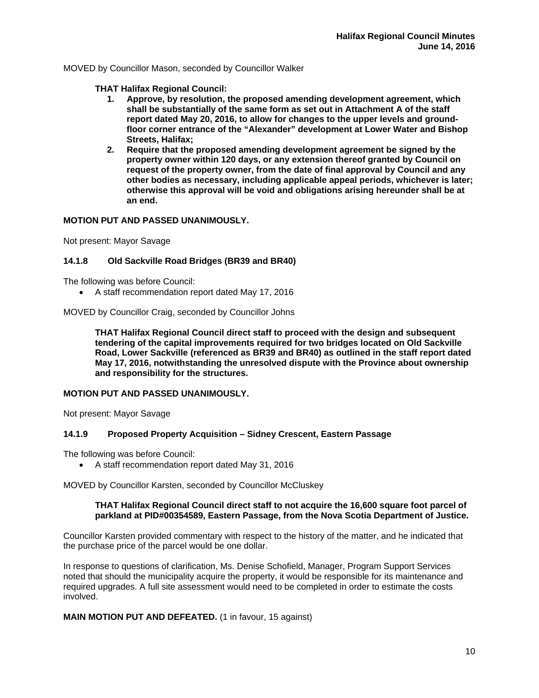MOVED by Councillor Mason, seconded by Councillor Walker

**THAT Halifax Regional Council:** 

- **1. Approve, by resolution, the proposed amending development agreement, which shall be substantially of the same form as set out in Attachment A of the staff report dated May 20, 2016, to allow for changes to the upper levels and groundfloor corner entrance of the "Alexander" development at Lower Water and Bishop Streets, Halifax;**
- **2. Require that the proposed amending development agreement be signed by the property owner within 120 days, or any extension thereof granted by Council on request of the property owner, from the date of final approval by Council and any other bodies as necessary, including applicable appeal periods, whichever is later; otherwise this approval will be void and obligations arising hereunder shall be at an end.**

# **MOTION PUT AND PASSED UNANIMOUSLY.**

Not present: Mayor Savage

# **14.1.8 Old Sackville Road Bridges (BR39 and BR40)**

The following was before Council:

A staff recommendation report dated May 17, 2016

MOVED by Councillor Craig, seconded by Councillor Johns

**THAT Halifax Regional Council direct staff to proceed with the design and subsequent tendering of the capital improvements required for two bridges located on Old Sackville Road, Lower Sackville (referenced as BR39 and BR40) as outlined in the staff report dated May 17, 2016, notwithstanding the unresolved dispute with the Province about ownership and responsibility for the structures.** 

# **MOTION PUT AND PASSED UNANIMOUSLY.**

Not present: Mayor Savage

# **14.1.9 Proposed Property Acquisition – Sidney Crescent, Eastern Passage**

The following was before Council:

A staff recommendation report dated May 31, 2016

MOVED by Councillor Karsten, seconded by Councillor McCluskey

# **THAT Halifax Regional Council direct staff to not acquire the 16,600 square foot parcel of parkland at PID#00354589, Eastern Passage, from the Nova Scotia Department of Justice.**

Councillor Karsten provided commentary with respect to the history of the matter, and he indicated that the purchase price of the parcel would be one dollar.

In response to questions of clarification, Ms. Denise Schofield, Manager, Program Support Services noted that should the municipality acquire the property, it would be responsible for its maintenance and required upgrades. A full site assessment would need to be completed in order to estimate the costs involved.

# **MAIN MOTION PUT AND DEFEATED.** (1 in favour, 15 against)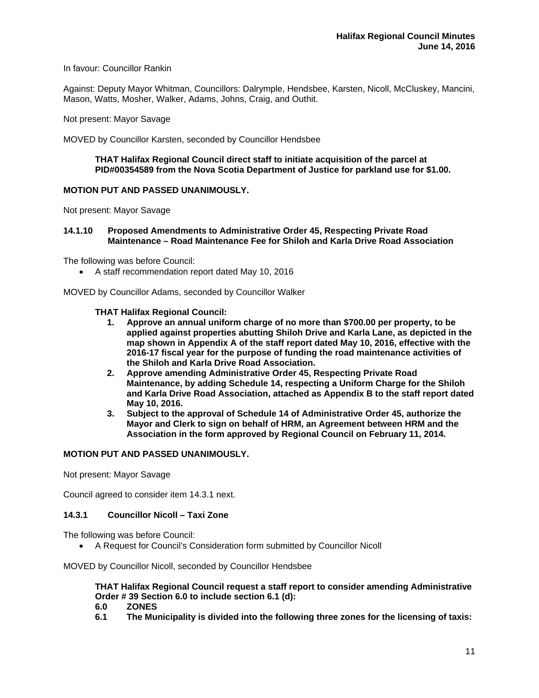# In favour: Councillor Rankin

Against: Deputy Mayor Whitman, Councillors: Dalrymple, Hendsbee, Karsten, Nicoll, McCluskey, Mancini, Mason, Watts, Mosher, Walker, Adams, Johns, Craig, and Outhit.

Not present: Mayor Savage

MOVED by Councillor Karsten, seconded by Councillor Hendsbee

## **THAT Halifax Regional Council direct staff to initiate acquisition of the parcel at PID#00354589 from the Nova Scotia Department of Justice for parkland use for \$1.00.**

# **MOTION PUT AND PASSED UNANIMOUSLY.**

Not present: Mayor Savage

**14.1.10 Proposed Amendments to Administrative Order 45, Respecting Private Road Maintenance – Road Maintenance Fee for Shiloh and Karla Drive Road Association** 

The following was before Council:

A staff recommendation report dated May 10, 2016

MOVED by Councillor Adams, seconded by Councillor Walker

## **THAT Halifax Regional Council:**

- **1. Approve an annual uniform charge of no more than \$700.00 per property, to be applied against properties abutting Shiloh Drive and Karla Lane, as depicted in the map shown in Appendix A of the staff report dated May 10, 2016, effective with the 2016-17 fiscal year for the purpose of funding the road maintenance activities of the Shiloh and Karla Drive Road Association.**
- **2. Approve amending Administrative Order 45, Respecting Private Road Maintenance, by adding Schedule 14, respecting a Uniform Charge for the Shiloh and Karla Drive Road Association, attached as Appendix B to the staff report dated May 10, 2016.**
- **3. Subject to the approval of Schedule 14 of Administrative Order 45, authorize the Mayor and Clerk to sign on behalf of HRM, an Agreement between HRM and the Association in the form approved by Regional Council on February 11, 2014.**

#### **MOTION PUT AND PASSED UNANIMOUSLY.**

Not present: Mayor Savage

Council agreed to consider item 14.3.1 next.

#### **14.3.1 Councillor Nicoll – Taxi Zone**

The following was before Council:

A Request for Council's Consideration form submitted by Councillor Nicoll

MOVED by Councillor Nicoll, seconded by Councillor Hendsbee

**THAT Halifax Regional Council request a staff report to consider amending Administrative Order # 39 Section 6.0 to include section 6.1 (d):** 

- **6.0 ZONES**
- **6.1 The Municipality is divided into the following three zones for the licensing of taxis:**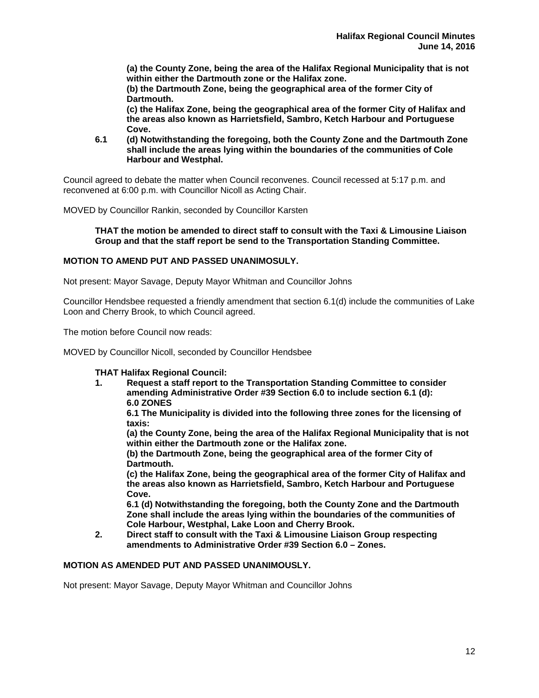**(a) the County Zone, being the area of the Halifax Regional Municipality that is not within either the Dartmouth zone or the Halifax zone.** 

**(b) the Dartmouth Zone, being the geographical area of the former City of Dartmouth.** 

**(c) the Halifax Zone, being the geographical area of the former City of Halifax and the areas also known as Harrietsfield, Sambro, Ketch Harbour and Portuguese Cove.** 

**6.1 (d) Notwithstanding the foregoing, both the County Zone and the Dartmouth Zone shall include the areas lying within the boundaries of the communities of Cole Harbour and Westphal.** 

Council agreed to debate the matter when Council reconvenes. Council recessed at 5:17 p.m. and reconvened at 6:00 p.m. with Councillor Nicoll as Acting Chair.

MOVED by Councillor Rankin, seconded by Councillor Karsten

## **THAT the motion be amended to direct staff to consult with the Taxi & Limousine Liaison Group and that the staff report be send to the Transportation Standing Committee.**

# **MOTION TO AMEND PUT AND PASSED UNANIMOSULY.**

Not present: Mayor Savage, Deputy Mayor Whitman and Councillor Johns

Councillor Hendsbee requested a friendly amendment that section 6.1(d) include the communities of Lake Loon and Cherry Brook, to which Council agreed.

The motion before Council now reads:

MOVED by Councillor Nicoll, seconded by Councillor Hendsbee

# **THAT Halifax Regional Council:**

**1. Request a staff report to the Transportation Standing Committee to consider amending Administrative Order #39 Section 6.0 to include section 6.1 (d): 6.0 ZONES** 

**6.1 The Municipality is divided into the following three zones for the licensing of taxis:** 

**(a) the County Zone, being the area of the Halifax Regional Municipality that is not within either the Dartmouth zone or the Halifax zone.** 

**(b) the Dartmouth Zone, being the geographical area of the former City of Dartmouth.** 

**(c) the Halifax Zone, being the geographical area of the former City of Halifax and the areas also known as Harrietsfield, Sambro, Ketch Harbour and Portuguese Cove.** 

 **6.1 (d) Notwithstanding the foregoing, both the County Zone and the Dartmouth Zone shall include the areas lying within the boundaries of the communities of Cole Harbour, Westphal, Lake Loon and Cherry Brook.** 

**2. Direct staff to consult with the Taxi & Limousine Liaison Group respecting amendments to Administrative Order #39 Section 6.0 – Zones.** 

# **MOTION AS AMENDED PUT AND PASSED UNANIMOUSLY.**

Not present: Mayor Savage, Deputy Mayor Whitman and Councillor Johns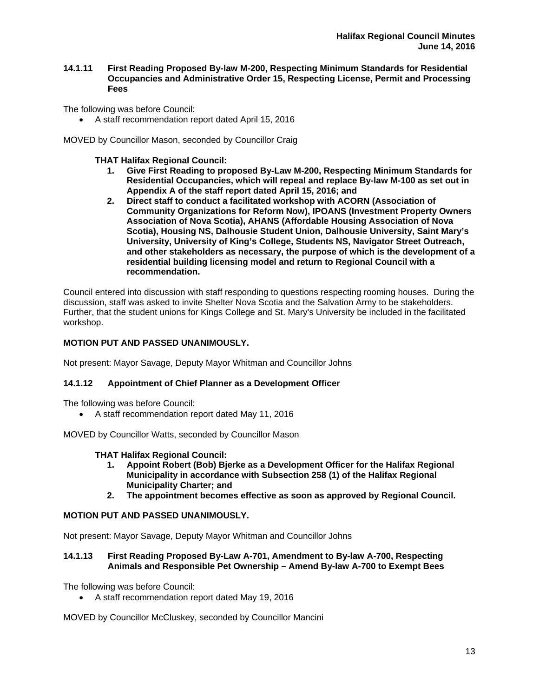# **14.1.11 First Reading Proposed By-law M-200, Respecting Minimum Standards for Residential Occupancies and Administrative Order 15, Respecting License, Permit and Processing Fees**

The following was before Council:

A staff recommendation report dated April 15, 2016

MOVED by Councillor Mason, seconded by Councillor Craig

**THAT Halifax Regional Council:** 

- **1. Give First Reading to proposed By-Law M-200, Respecting Minimum Standards for Residential Occupancies, which will repeal and replace By-law M-100 as set out in Appendix A of the staff report dated April 15, 2016; and**
- **2. Direct staff to conduct a facilitated workshop with ACORN (Association of Community Organizations for Reform Now), IPOANS (Investment Property Owners Association of Nova Scotia), AHANS (Affordable Housing Association of Nova Scotia), Housing NS, Dalhousie Student Union, Dalhousie University, Saint Mary's University, University of King's College, Students NS, Navigator Street Outreach, and other stakeholders as necessary, the purpose of which is the development of a residential building licensing model and return to Regional Council with a recommendation.**

Council entered into discussion with staff responding to questions respecting rooming houses. During the discussion, staff was asked to invite Shelter Nova Scotia and the Salvation Army to be stakeholders. Further, that the student unions for Kings College and St. Mary's University be included in the facilitated workshop.

# **MOTION PUT AND PASSED UNANIMOUSLY.**

Not present: Mayor Savage, Deputy Mayor Whitman and Councillor Johns

# **14.1.12 Appointment of Chief Planner as a Development Officer**

The following was before Council:

A staff recommendation report dated May 11, 2016

MOVED by Councillor Watts, seconded by Councillor Mason

# **THAT Halifax Regional Council:**

- **1. Appoint Robert (Bob) Bjerke as a Development Officer for the Halifax Regional Municipality in accordance with Subsection 258 (1) of the Halifax Regional Municipality Charter; and**
- **2. The appointment becomes effective as soon as approved by Regional Council.**

# **MOTION PUT AND PASSED UNANIMOUSLY.**

Not present: Mayor Savage, Deputy Mayor Whitman and Councillor Johns

# **14.1.13 First Reading Proposed By-Law A-701, Amendment to By-law A-700, Respecting Animals and Responsible Pet Ownership – Amend By-law A-700 to Exempt Bees**

The following was before Council:

A staff recommendation report dated May 19, 2016

MOVED by Councillor McCluskey, seconded by Councillor Mancini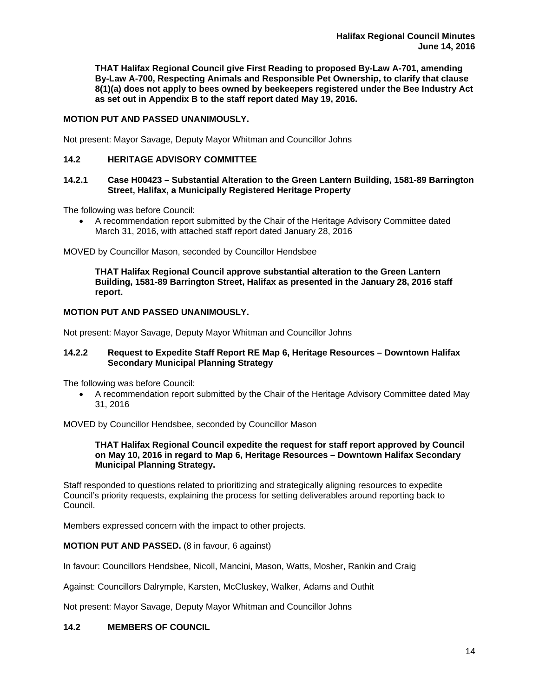**THAT Halifax Regional Council give First Reading to proposed By-Law A-701, amending By-Law A-700, Respecting Animals and Responsible Pet Ownership, to clarify that clause 8(1)(a) does not apply to bees owned by beekeepers registered under the Bee Industry Act as set out in Appendix B to the staff report dated May 19, 2016.** 

# **MOTION PUT AND PASSED UNANIMOUSLY.**

Not present: Mayor Savage, Deputy Mayor Whitman and Councillor Johns

# **14.2 HERITAGE ADVISORY COMMITTEE**

# **14.2.1 Case H00423 – Substantial Alteration to the Green Lantern Building, 1581-89 Barrington Street, Halifax, a Municipally Registered Heritage Property**

The following was before Council:

 A recommendation report submitted by the Chair of the Heritage Advisory Committee dated March 31, 2016, with attached staff report dated January 28, 2016

MOVED by Councillor Mason, seconded by Councillor Hendsbee

**THAT Halifax Regional Council approve substantial alteration to the Green Lantern Building, 1581-89 Barrington Street, Halifax as presented in the January 28, 2016 staff report.** 

# **MOTION PUT AND PASSED UNANIMOUSLY.**

Not present: Mayor Savage, Deputy Mayor Whitman and Councillor Johns

#### **14.2.2 Request to Expedite Staff Report RE Map 6, Heritage Resources – Downtown Halifax Secondary Municipal Planning Strategy**

The following was before Council:

 A recommendation report submitted by the Chair of the Heritage Advisory Committee dated May 31, 2016

MOVED by Councillor Hendsbee, seconded by Councillor Mason

#### **THAT Halifax Regional Council expedite the request for staff report approved by Council on May 10, 2016 in regard to Map 6, Heritage Resources – Downtown Halifax Secondary Municipal Planning Strategy.**

Staff responded to questions related to prioritizing and strategically aligning resources to expedite Council's priority requests, explaining the process for setting deliverables around reporting back to Council.

Members expressed concern with the impact to other projects.

# **MOTION PUT AND PASSED.** (8 in favour, 6 against)

In favour: Councillors Hendsbee, Nicoll, Mancini, Mason, Watts, Mosher, Rankin and Craig

Against: Councillors Dalrymple, Karsten, McCluskey, Walker, Adams and Outhit

Not present: Mayor Savage, Deputy Mayor Whitman and Councillor Johns

# **14.2 MEMBERS OF COUNCIL**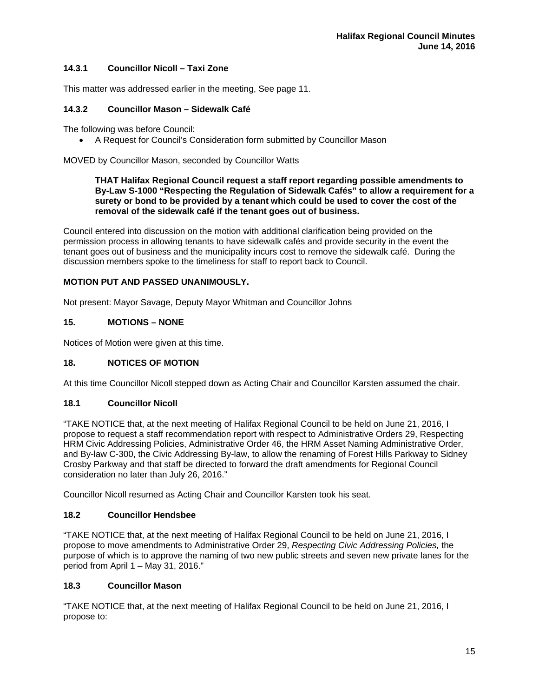# **14.3.1 Councillor Nicoll – Taxi Zone**

This matter was addressed earlier in the meeting, See page 11.

# **14.3.2 Councillor Mason – Sidewalk Café**

The following was before Council:

A Request for Council's Consideration form submitted by Councillor Mason

MOVED by Councillor Mason, seconded by Councillor Watts

# **THAT Halifax Regional Council request a staff report regarding possible amendments to By-Law S-1000 "Respecting the Regulation of Sidewalk Cafés" to allow a requirement for a surety or bond to be provided by a tenant which could be used to cover the cost of the removal of the sidewalk café if the tenant goes out of business.**

Council entered into discussion on the motion with additional clarification being provided on the permission process in allowing tenants to have sidewalk cafés and provide security in the event the tenant goes out of business and the municipality incurs cost to remove the sidewalk café. During the discussion members spoke to the timeliness for staff to report back to Council.

# **MOTION PUT AND PASSED UNANIMOUSLY.**

Not present: Mayor Savage, Deputy Mayor Whitman and Councillor Johns

# **15. MOTIONS – NONE**

Notices of Motion were given at this time.

# **18. NOTICES OF MOTION**

At this time Councillor Nicoll stepped down as Acting Chair and Councillor Karsten assumed the chair.

# **18.1 Councillor Nicoll**

"TAKE NOTICE that, at the next meeting of Halifax Regional Council to be held on June 21, 2016, I propose to request a staff recommendation report with respect to Administrative Orders 29, Respecting HRM Civic Addressing Policies, Administrative Order 46, the HRM Asset Naming Administrative Order, and By-law C-300, the Civic Addressing By-law, to allow the renaming of Forest Hills Parkway to Sidney Crosby Parkway and that staff be directed to forward the draft amendments for Regional Council consideration no later than July 26, 2016."

Councillor Nicoll resumed as Acting Chair and Councillor Karsten took his seat.

# **18.2 Councillor Hendsbee**

"TAKE NOTICE that, at the next meeting of Halifax Regional Council to be held on June 21, 2016, I propose to move amendments to Administrative Order 29, *Respecting Civic Addressing Policies,* the purpose of which is to approve the naming of two new public streets and seven new private lanes for the period from April 1 – May 31, 2016."

# **18.3 Councillor Mason**

"TAKE NOTICE that, at the next meeting of Halifax Regional Council to be held on June 21, 2016, I propose to: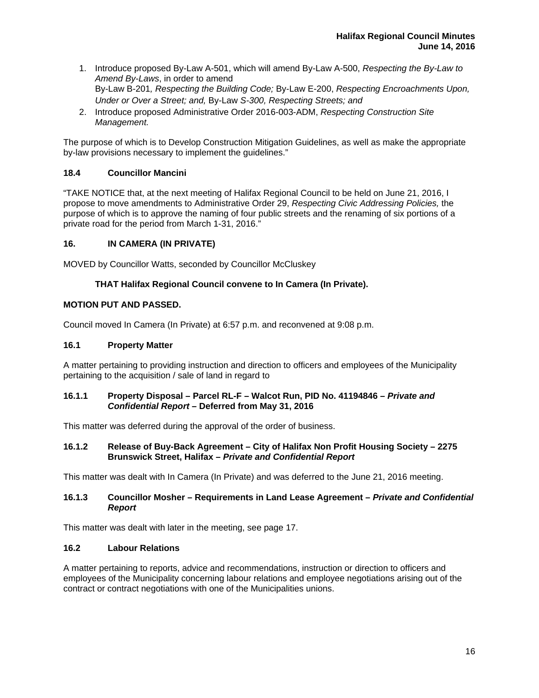- 1. Introduce proposed By-Law A-501, which will amend By-Law A-500, *Respecting the By-Law to Amend By-Laws*, in order to amend By-Law B-201*, Respecting the Building Code;* By-Law E-200, *Respecting Encroachments Upon, Under or Over a Street; and,* By-Law *S-300, Respecting Streets; and*
- 2. Introduce proposed Administrative Order 2016-003-ADM, *Respecting Construction Site Management.*

The purpose of which is to Develop Construction Mitigation Guidelines, as well as make the appropriate by-law provisions necessary to implement the guidelines."

# **18.4 Councillor Mancini**

"TAKE NOTICE that, at the next meeting of Halifax Regional Council to be held on June 21, 2016, I propose to move amendments to Administrative Order 29, *Respecting Civic Addressing Policies,* the purpose of which is to approve the naming of four public streets and the renaming of six portions of a private road for the period from March 1-31, 2016."

# **16. IN CAMERA (IN PRIVATE)**

MOVED by Councillor Watts, seconded by Councillor McCluskey

# **THAT Halifax Regional Council convene to In Camera (In Private).**

# **MOTION PUT AND PASSED.**

Council moved In Camera (In Private) at 6:57 p.m. and reconvened at 9:08 p.m.

# **16.1 Property Matter**

A matter pertaining to providing instruction and direction to officers and employees of the Municipality pertaining to the acquisition / sale of land in regard to

# **16.1.1 Property Disposal – Parcel RL-F – Walcot Run, PID No. 41194846** *– Private and Confidential Report –* **Deferred from May 31, 2016**

This matter was deferred during the approval of the order of business.

# **16.1.2 Release of Buy-Back Agreement – City of Halifax Non Profit Housing Society – 2275 Brunswick Street, Halifax –** *Private and Confidential Report*

This matter was dealt with In Camera (In Private) and was deferred to the June 21, 2016 meeting.

# **16.1.3 Councillor Mosher – Requirements in Land Lease Agreement –** *Private and Confidential Report*

This matter was dealt with later in the meeting, see page 17.

# **16.2 Labour Relations**

A matter pertaining to reports, advice and recommendations, instruction or direction to officers and employees of the Municipality concerning labour relations and employee negotiations arising out of the contract or contract negotiations with one of the Municipalities unions.